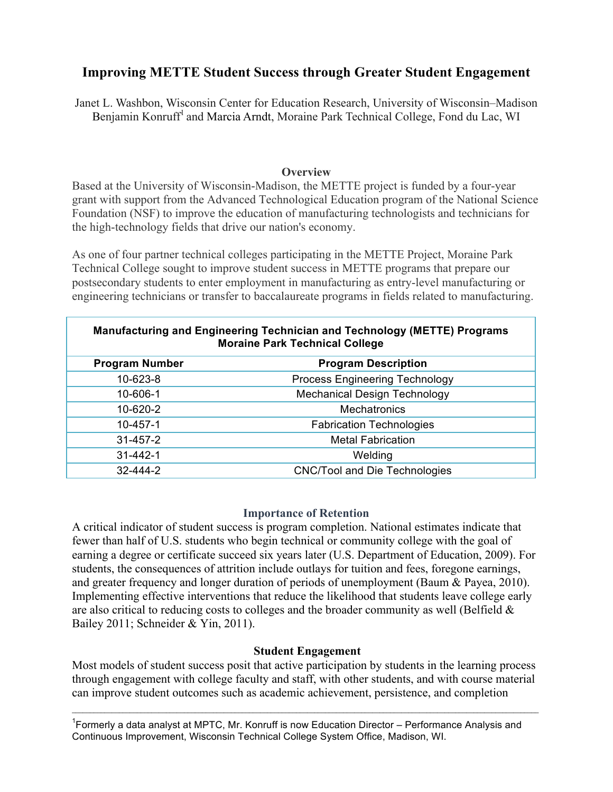## **Improving METTE Student Success through Greater Student Engagement**

Janet L. Washbon, Wisconsin Center for Education Research, University of Wisconsin–Madison Benjamin Konruff<sup>1</sup> and Marcia Arndt, Moraine Park Technical College, Fond du Lac, WI

### **Overview**

Based at the University of Wisconsin-Madison, the METTE project is funded by a four-year grant with support from the Advanced Technological Education program of the National Science Foundation (NSF) to improve the education of manufacturing technologists and technicians for the high-technology fields that drive our nation's economy.

As one of four partner technical colleges participating in the METTE Project, Moraine Park Technical College sought to improve student success in METTE programs that prepare our postsecondary students to enter employment in manufacturing as entry-level manufacturing or engineering technicians or transfer to baccalaureate programs in fields related to manufacturing.

| <b>Manufacturing and Engineering Technician and Technology (METTE) Programs</b><br><b>Moraine Park Technical College</b> |                                       |  |  |  |
|--------------------------------------------------------------------------------------------------------------------------|---------------------------------------|--|--|--|
| <b>Program Number</b>                                                                                                    | <b>Program Description</b>            |  |  |  |
| 10-623-8                                                                                                                 | <b>Process Engineering Technology</b> |  |  |  |
| 10-606-1                                                                                                                 | <b>Mechanical Design Technology</b>   |  |  |  |
| 10-620-2                                                                                                                 | <b>Mechatronics</b>                   |  |  |  |
| $10 - 457 - 1$                                                                                                           | <b>Fabrication Technologies</b>       |  |  |  |
| $31 - 457 - 2$                                                                                                           | <b>Metal Fabrication</b>              |  |  |  |
| $31 - 442 - 1$                                                                                                           | Welding                               |  |  |  |
| 32-444-2                                                                                                                 | <b>CNC/Tool and Die Technologies</b>  |  |  |  |

### **Importance of Retention**

A critical indicator of student success is program completion. National estimates indicate that fewer than half of U.S. students who begin technical or community college with the goal of earning a degree or certificate succeed six years later (U.S. Department of Education, 2009). For students, the consequences of attrition include outlays for tuition and fees, foregone earnings, and greater frequency and longer duration of periods of unemployment (Baum & Payea, 2010). Implementing effective interventions that reduce the likelihood that students leave college early are also critical to reducing costs to colleges and the broader community as well (Belfield  $\&$ Bailey 2011; Schneider & Yin, 2011).

## **Student Engagement**

Most models of student success posit that active participation by students in the learning process through engagement with college faculty and staff, with other students, and with course material can improve student outcomes such as academic achievement, persistence, and completion

 $\mathcal{L}_\mathcal{L} = \{ \mathcal{L}_\mathcal{L} = \{ \mathcal{L}_\mathcal{L} = \{ \mathcal{L}_\mathcal{L} = \{ \mathcal{L}_\mathcal{L} = \{ \mathcal{L}_\mathcal{L} = \{ \mathcal{L}_\mathcal{L} = \{ \mathcal{L}_\mathcal{L} = \{ \mathcal{L}_\mathcal{L} = \{ \mathcal{L}_\mathcal{L} = \{ \mathcal{L}_\mathcal{L} = \{ \mathcal{L}_\mathcal{L} = \{ \mathcal{L}_\mathcal{L} = \{ \mathcal{L}_\mathcal{L} = \{ \mathcal{L}_\mathcal{$ 

<sup>1</sup> Formerly a data analyst at MPTC, Mr. Konruff is now Education Director – Performance Analysis and Continuous Improvement, Wisconsin Technical College System Office, Madison, WI.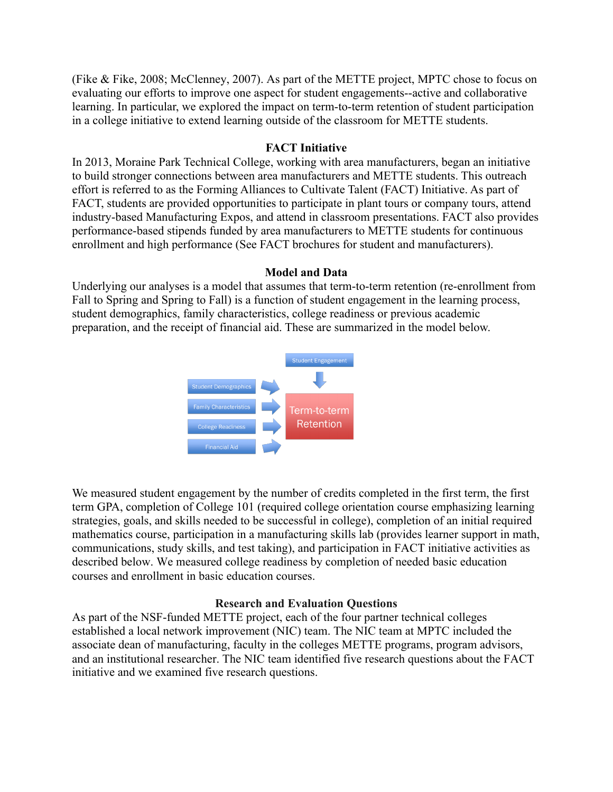(Fike & Fike, 2008; McClenney, 2007). As part of the METTE project, MPTC chose to focus on evaluating our efforts to improve one aspect for student engagements--active and collaborative learning. In particular, we explored the impact on term-to-term retention of student participation in a college initiative to extend learning outside of the classroom for METTE students.

## **FACT Initiative**

In 2013, Moraine Park Technical College, working with area manufacturers, began an initiative to build stronger connections between area manufacturers and METTE students. This outreach effort is referred to as the Forming Alliances to Cultivate Talent (FACT) Initiative. As part of FACT, students are provided opportunities to participate in plant tours or company tours, attend industry-based Manufacturing Expos, and attend in classroom presentations. FACT also provides performance-based stipends funded by area manufacturers to METTE students for continuous enrollment and high performance (See FACT brochures for student and manufacturers).

## **Model and Data**

Underlying our analyses is a model that assumes that term-to-term retention (re-enrollment from Fall to Spring and Spring to Fall) is a function of student engagement in the learning process, student demographics, family characteristics, college readiness or previous academic preparation, and the receipt of financial aid. These are summarized in the model below.



We measured student engagement by the number of credits completed in the first term, the first term GPA, completion of College 101 (required college orientation course emphasizing learning strategies, goals, and skills needed to be successful in college), completion of an initial required mathematics course, participation in a manufacturing skills lab (provides learner support in math, communications, study skills, and test taking), and participation in FACT initiative activities as described below. We measured college readiness by completion of needed basic education courses and enrollment in basic education courses.

## **Research and Evaluation Questions**

As part of the NSF-funded METTE project, each of the four partner technical colleges established a local network improvement (NIC) team. The NIC team at MPTC included the associate dean of manufacturing, faculty in the colleges METTE programs, program advisors, and an institutional researcher. The NIC team identified five research questions about the FACT initiative and we examined five research questions.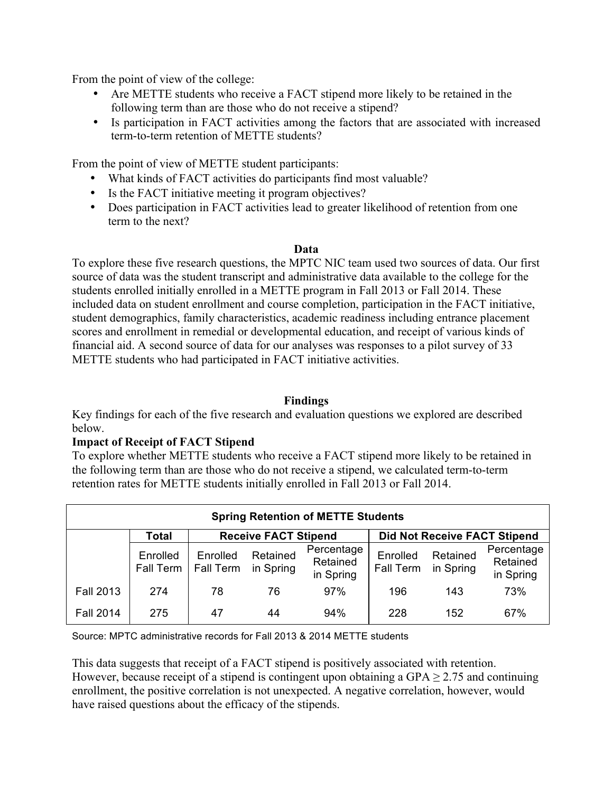From the point of view of the college:

- Are METTE students who receive a FACT stipend more likely to be retained in the following term than are those who do not receive a stipend?
- Is participation in FACT activities among the factors that are associated with increased term-to-term retention of METTE students?

From the point of view of METTE student participants:

- What kinds of FACT activities do participants find most valuable?
- Is the FACT initiative meeting it program objectives?
- Does participation in FACT activities lead to greater likelihood of retention from one term to the next?

#### **Data**

To explore these five research questions, the MPTC NIC team used two sources of data. Our first source of data was the student transcript and administrative data available to the college for the students enrolled initially enrolled in a METTE program in Fall 2013 or Fall 2014. These included data on student enrollment and course completion, participation in the FACT initiative, student demographics, family characteristics, academic readiness including entrance placement scores and enrollment in remedial or developmental education, and receipt of various kinds of financial aid. A second source of data for our analyses was responses to a pilot survey of 33 METTE students who had participated in FACT initiative activities.

### **Findings**

Key findings for each of the five research and evaluation questions we explored are described below.

### **Impact of Receipt of FACT Stipend**

To explore whether METTE students who receive a FACT stipend more likely to be retained in the following term than are those who do not receive a stipend, we calculated term-to-term retention rates for METTE students initially enrolled in Fall 2013 or Fall 2014.

| <b>Spring Retention of METTE Students</b> |                       |                              |                       |                                     |                       |                       |                                     |  |
|-------------------------------------------|-----------------------|------------------------------|-----------------------|-------------------------------------|-----------------------|-----------------------|-------------------------------------|--|
| <b>Receive FACT Stipend</b><br>Total      |                       |                              |                       | <b>Did Not Receive FACT Stipend</b> |                       |                       |                                     |  |
|                                           | Enrolled<br>Fall Term | Enrolled<br><b>Fall Term</b> | Retained<br>in Spring | Percentage<br>Retained<br>in Spring | Enrolled<br>Fall Term | Retained<br>in Spring | Percentage<br>Retained<br>in Spring |  |
| <b>Fall 2013</b>                          | 274                   | 78                           | 76                    | 97%                                 | 196                   | 143                   | 73%                                 |  |
| <b>Fall 2014</b>                          | 275                   | 47                           | 44                    | 94%                                 | 228                   | 152                   | 67%                                 |  |

Source: MPTC administrative records for Fall 2013 & 2014 METTE students

This data suggests that receipt of a FACT stipend is positively associated with retention. However, because receipt of a stipend is contingent upon obtaining a GPA  $\geq$  2.75 and continuing enrollment, the positive correlation is not unexpected. A negative correlation, however, would have raised questions about the efficacy of the stipends.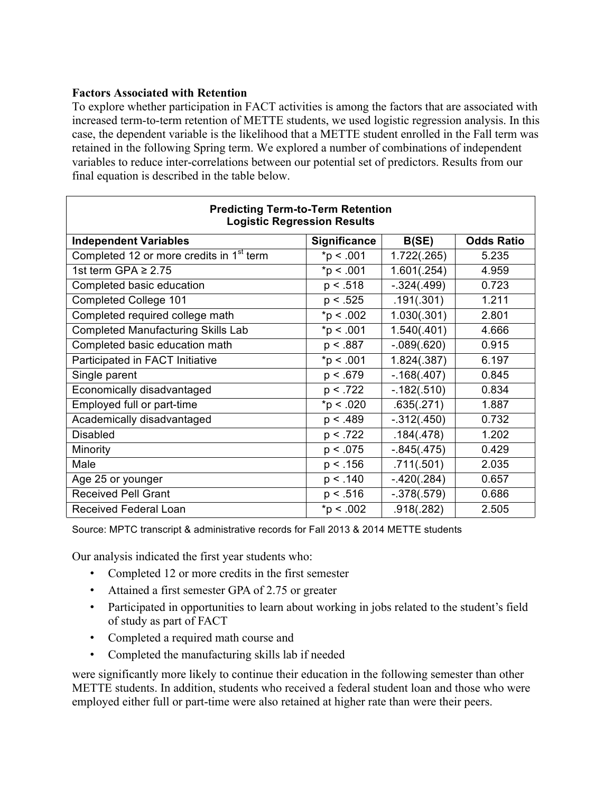## **Factors Associated with Retention**

To explore whether participation in FACT activities is among the factors that are associated with increased term-to-term retention of METTE students, we used logistic regression analysis. In this case, the dependent variable is the likelihood that a METTE student enrolled in the Fall term was retained in the following Spring term. We explored a number of combinations of independent variables to reduce inter-correlations between our potential set of predictors. Results from our final equation is described in the table below.

| <b>Predicting Term-to-Term Retention</b><br><b>Logistic Regression Results</b> |                     |                |                   |  |  |  |  |
|--------------------------------------------------------------------------------|---------------------|----------------|-------------------|--|--|--|--|
| <b>Independent Variables</b>                                                   | <b>Significance</b> | B(SE)          | <b>Odds Ratio</b> |  |  |  |  |
| Completed 12 or more credits in 1 <sup>st</sup> term                           | $*p < .001$         | 1.722(.265)    | 5.235             |  |  |  |  |
| 1st term GPA $\geq$ 2.75                                                       | $*_{p}$ < .001      | 1.601(.254)    | 4.959             |  |  |  |  |
| Completed basic education                                                      | p < .518            | $-.324(.499)$  | 0.723             |  |  |  |  |
| <b>Completed College 101</b>                                                   | p < .525            | .191(.301)     | 1.211             |  |  |  |  |
| Completed required college math                                                | *p < .002           | 1.030(.301)    | 2.801             |  |  |  |  |
| <b>Completed Manufacturing Skills Lab</b>                                      | $*_{p}$ < .001      | 1.540(.401)    | 4.666             |  |  |  |  |
| Completed basic education math                                                 | p < .887            | $-.089(.620)$  | 0.915             |  |  |  |  |
| Participated in FACT Initiative                                                | $*p < .001$         | 1.824(.387)    | 6.197             |  |  |  |  |
| Single parent                                                                  | p < .679            | $-0.168(.407)$ | 0.845             |  |  |  |  |
| Economically disadvantaged                                                     | p < .722            | $-0.182(.510)$ | 0.834             |  |  |  |  |
| Employed full or part-time                                                     | $*p < .020$         | .635(.271)     | 1.887             |  |  |  |  |
| Academically disadvantaged                                                     | p < .489            | $-.312(.450)$  | 0.732             |  |  |  |  |
| <b>Disabled</b>                                                                | p < .722            | .184(.478)     | 1.202             |  |  |  |  |
| Minority                                                                       | p < .075            | $-0.845(.475)$ | 0.429             |  |  |  |  |
| Male                                                                           | p < .156            | .711(.501)     | 2.035             |  |  |  |  |
| Age 25 or younger                                                              | p < .140            | $-420(.284)$   | 0.657             |  |  |  |  |
| <b>Received Pell Grant</b>                                                     | p < .516            | $-.378(.579)$  | 0.686             |  |  |  |  |
| <b>Received Federal Loan</b>                                                   | *p < .002           | .918(.282)     | 2.505             |  |  |  |  |

Source: MPTC transcript & administrative records for Fall 2013 & 2014 METTE students

Our analysis indicated the first year students who:

- Completed 12 or more credits in the first semester
- Attained a first semester GPA of 2.75 or greater
- Participated in opportunities to learn about working in jobs related to the student's field of study as part of FACT
- Completed a required math course and
- Completed the manufacturing skills lab if needed

were significantly more likely to continue their education in the following semester than other METTE students. In addition, students who received a federal student loan and those who were employed either full or part-time were also retained at higher rate than were their peers.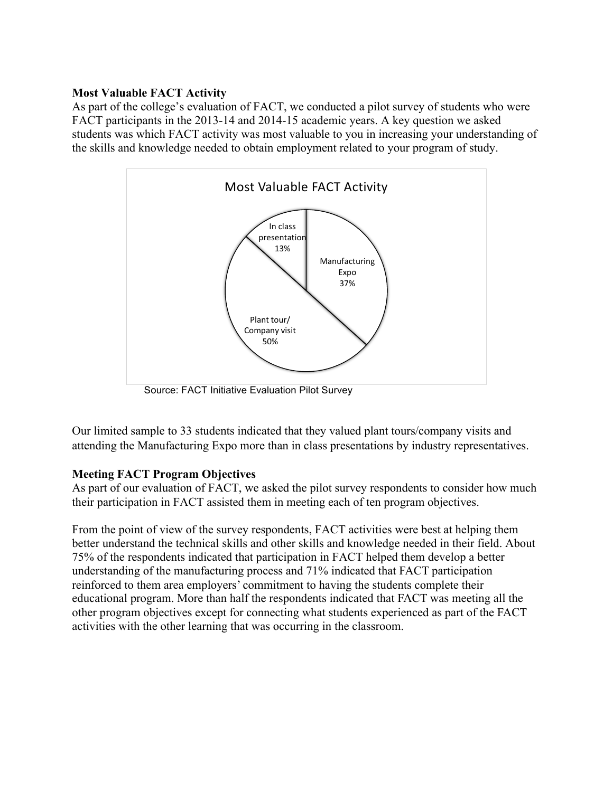## **Most Valuable FACT Activity**

As part of the college's evaluation of FACT, we conducted a pilot survey of students who were FACT participants in the 2013-14 and 2014-15 academic years. A key question we asked students was which FACT activity was most valuable to you in increasing your understanding of the skills and knowledge needed to obtain employment related to your program of study.



Source: FACT Initiative Evaluation Pilot Survey

Our limited sample to 33 students indicated that they valued plant tours/company visits and attending the Manufacturing Expo more than in class presentations by industry representatives.

## **Meeting FACT Program Objectives**

As part of our evaluation of FACT, we asked the pilot survey respondents to consider how much their participation in FACT assisted them in meeting each of ten program objectives.

From the point of view of the survey respondents, FACT activities were best at helping them better understand the technical skills and other skills and knowledge needed in their field. About 75% of the respondents indicated that participation in FACT helped them develop a better understanding of the manufacturing process and 71% indicated that FACT participation reinforced to them area employers' commitment to having the students complete their educational program. More than half the respondents indicated that FACT was meeting all the other program objectives except for connecting what students experienced as part of the FACT activities with the other learning that was occurring in the classroom.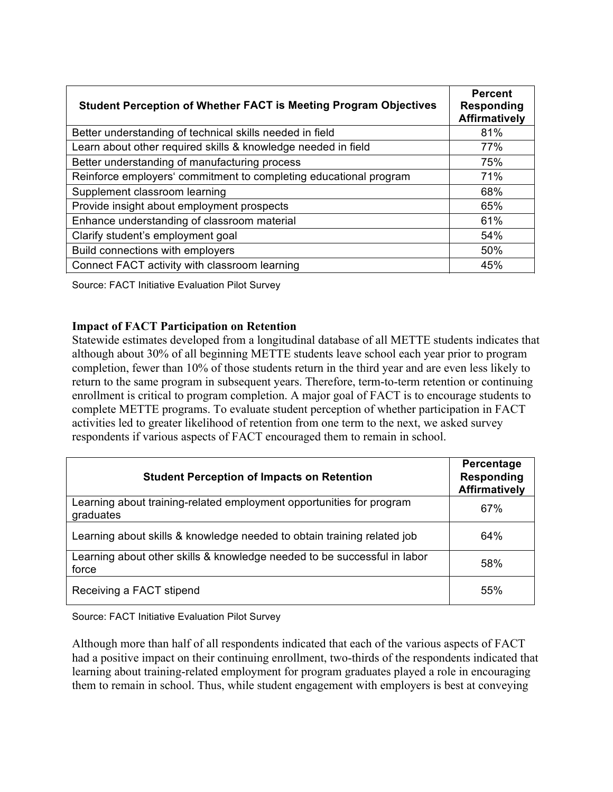| <b>Student Perception of Whether FACT is Meeting Program Objectives</b> | <b>Percent</b><br><b>Responding</b><br><b>Affirmatively</b> |
|-------------------------------------------------------------------------|-------------------------------------------------------------|
| Better understanding of technical skills needed in field                | 81%                                                         |
| Learn about other required skills & knowledge needed in field           | 77%                                                         |
| Better understanding of manufacturing process                           | 75%                                                         |
| Reinforce employers' commitment to completing educational program       | 71%                                                         |
| Supplement classroom learning                                           | 68%                                                         |
| Provide insight about employment prospects                              | 65%                                                         |
| Enhance understanding of classroom material                             | 61%                                                         |
| Clarify student's employment goal                                       | 54%                                                         |
| Build connections with employers                                        | 50%                                                         |
| Connect FACT activity with classroom learning                           | 45%                                                         |

Source: FACT Initiative Evaluation Pilot Survey

## **Impact of FACT Participation on Retention**

Statewide estimates developed from a longitudinal database of all METTE students indicates that although about 30% of all beginning METTE students leave school each year prior to program completion, fewer than 10% of those students return in the third year and are even less likely to return to the same program in subsequent years. Therefore, term-to-term retention or continuing enrollment is critical to program completion. A major goal of FACT is to encourage students to complete METTE programs. To evaluate student perception of whether participation in FACT activities led to greater likelihood of retention from one term to the next, we asked survey respondents if various aspects of FACT encouraged them to remain in school.

| <b>Student Perception of Impacts on Retention</b>                                 | Percentage<br><b>Responding</b><br><b>Affirmatively</b> |
|-----------------------------------------------------------------------------------|---------------------------------------------------------|
| Learning about training-related employment opportunities for program<br>graduates | 67%                                                     |
| Learning about skills & knowledge needed to obtain training related job           | 64%                                                     |
| Learning about other skills & knowledge needed to be successful in labor<br>force | 58%                                                     |
| Receiving a FACT stipend                                                          | 55%                                                     |

Source: FACT Initiative Evaluation Pilot Survey

Although more than half of all respondents indicated that each of the various aspects of FACT had a positive impact on their continuing enrollment, two-thirds of the respondents indicated that learning about training-related employment for program graduates played a role in encouraging them to remain in school. Thus, while student engagement with employers is best at conveying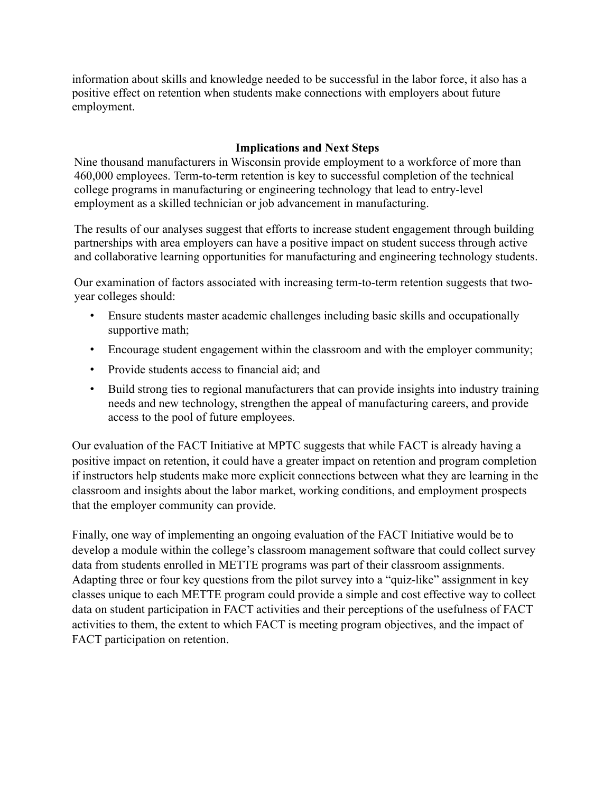information about skills and knowledge needed to be successful in the labor force, it also has a positive effect on retention when students make connections with employers about future employment.

## **Implications and Next Steps**

Nine thousand manufacturers in Wisconsin provide employment to a workforce of more than 460,000 employees. Term-to-term retention is key to successful completion of the technical college programs in manufacturing or engineering technology that lead to entry-level employment as a skilled technician or job advancement in manufacturing.

The results of our analyses suggest that efforts to increase student engagement through building partnerships with area employers can have a positive impact on student success through active and collaborative learning opportunities for manufacturing and engineering technology students.

Our examination of factors associated with increasing term-to-term retention suggests that twoyear colleges should:

- Ensure students master academic challenges including basic skills and occupationally supportive math;
- Encourage student engagement within the classroom and with the employer community;
- Provide students access to financial aid; and
- Build strong ties to regional manufacturers that can provide insights into industry training needs and new technology, strengthen the appeal of manufacturing careers, and provide access to the pool of future employees.

Our evaluation of the FACT Initiative at MPTC suggests that while FACT is already having a positive impact on retention, it could have a greater impact on retention and program completion if instructors help students make more explicit connections between what they are learning in the classroom and insights about the labor market, working conditions, and employment prospects that the employer community can provide.

Finally, one way of implementing an ongoing evaluation of the FACT Initiative would be to develop a module within the college's classroom management software that could collect survey data from students enrolled in METTE programs was part of their classroom assignments. Adapting three or four key questions from the pilot survey into a "quiz-like" assignment in key classes unique to each METTE program could provide a simple and cost effective way to collect data on student participation in FACT activities and their perceptions of the usefulness of FACT activities to them, the extent to which FACT is meeting program objectives, and the impact of FACT participation on retention.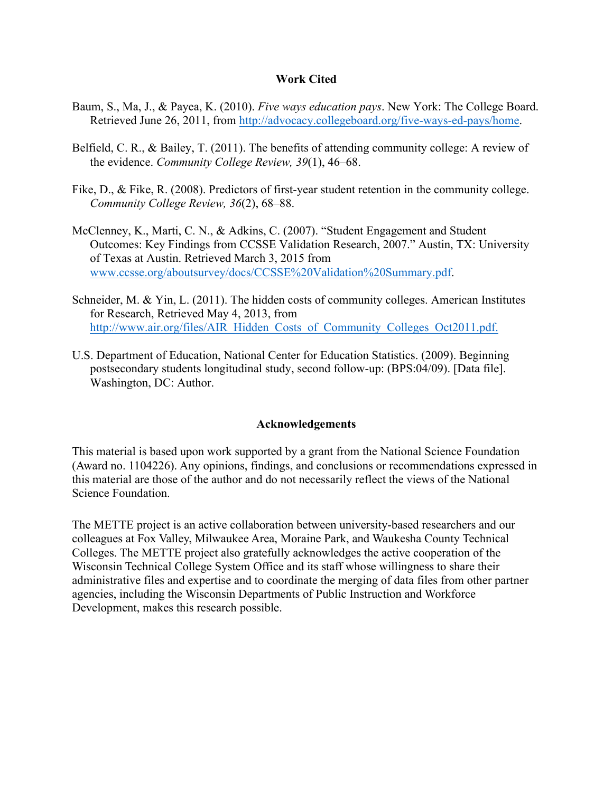### **Work Cited**

- Baum, S., Ma, J., & Payea, K. (2010). *Five ways education pays*. New York: The College Board. Retrieved June 26, 2011, from http://advocacy.collegeboard.org/five-ways-ed-pays/home.
- Belfield, C. R., & Bailey, T. (2011). The benefits of attending community college: A review of the evidence. *Community College Review, 39*(1), 46–68.
- Fike, D., & Fike, R. (2008). Predictors of first-year student retention in the community college. *Community College Review, 36*(2), 68–88.
- McClenney, K., Marti, C. N., & Adkins, C. (2007). "Student Engagement and Student Outcomes: Key Findings from CCSSE Validation Research, 2007." Austin, TX: University of Texas at Austin. Retrieved March 3, 2015 from www.ccsse.org/aboutsurvey/docs/CCSSE%20Validation%20Summary.pdf.
- Schneider, M. & Yin, L. (2011). The hidden costs of community colleges. American Institutes for Research, Retrieved May 4, 2013, from http://www.air.org/files/AIR\_Hidden\_Costs\_of\_Community\_Colleges\_Oct2011.pdf.
- U.S. Department of Education, National Center for Education Statistics. (2009). Beginning postsecondary students longitudinal study, second follow-up: (BPS:04/09). [Data file]. Washington, DC: Author.

### **Acknowledgements**

This material is based upon work supported by a grant from the National Science Foundation (Award no. 1104226). Any opinions, findings, and conclusions or recommendations expressed in this material are those of the author and do not necessarily reflect the views of the National Science Foundation.

The METTE project is an active collaboration between university-based researchers and our colleagues at Fox Valley, Milwaukee Area, Moraine Park, and Waukesha County Technical Colleges. The METTE project also gratefully acknowledges the active cooperation of the Wisconsin Technical College System Office and its staff whose willingness to share their administrative files and expertise and to coordinate the merging of data files from other partner agencies, including the Wisconsin Departments of Public Instruction and Workforce Development, makes this research possible.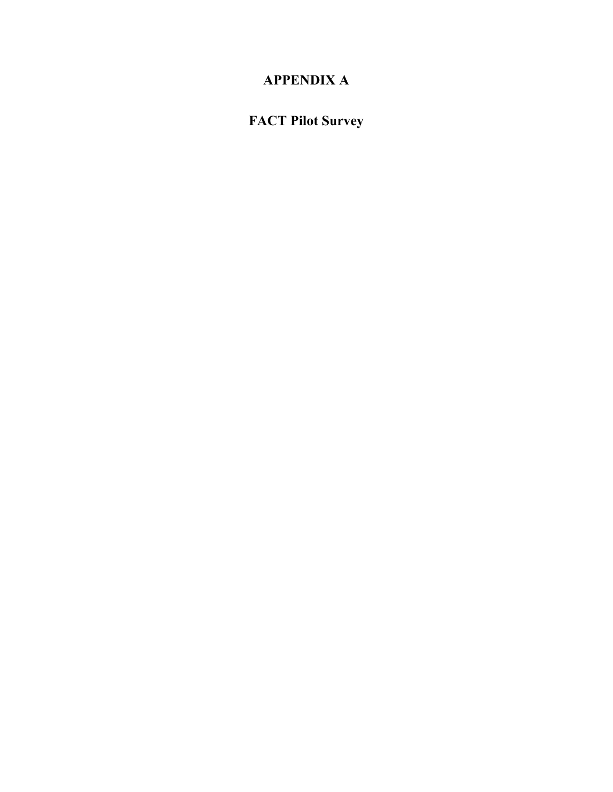# **APPENDIX A**

# **FACT Pilot Survey**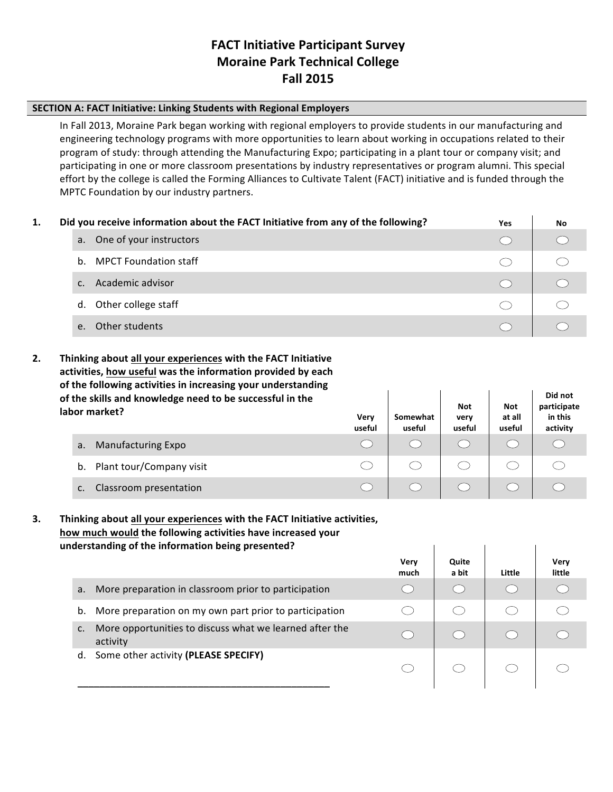## **FACT Initiative Participant Survey Moraine Park Technical College Fall 2015**

#### **SECTION A: FACT Initiative: Linking Students with Regional Employers**

In Fall 2013, Moraine Park began working with regional employers to provide students in our manufacturing and engineering technology programs with more opportunities to learn about working in occupations related to their program of study: through attending the Manufacturing Expo; participating in a plant tour or company visit; and participating in one or more classroom presentations by industry representatives or program alumni. This special effort by the college is called the Forming Alliances to Cultivate Talent (FACT) initiative and is funded through the MPTC Foundation by our industry partners.

| 1. |         | Did you receive information about the FACT Initiative from any of the following? | <b>Yes</b> | No |
|----|---------|----------------------------------------------------------------------------------|------------|----|
|    |         | a. One of your instructors                                                       |            |    |
|    |         | <b>MPCT Foundation staff</b><br>$h_{-}$                                          |            |    |
|    |         | Academic advisor                                                                 |            |    |
|    |         | Other college staff<br>d.                                                        |            |    |
|    | $e_{i}$ | Other students                                                                   |            |    |

**2.** Thinking about all your experiences with the FACT Initiative activities, how useful was the information provided by each of the following activities in increasing your understanding of the skills and knowledge need to be successful in the

| . .<br>labor market?           | Very<br>useful | Somewhat<br>useful | <b>Not</b><br>very<br>useful | Not<br>at all<br>useful | participate<br>in this<br>activity |
|--------------------------------|----------------|--------------------|------------------------------|-------------------------|------------------------------------|
| Manufacturing Expo<br>a.       |                |                    |                              |                         |                                    |
| Plant tour/Company visit<br>b. |                |                    |                              |                         |                                    |
| Classroom presentation<br>c.   |                |                    |                              |                         |                                    |

Did not

**3.** Thinking about all your experiences with the FACT Initiative activities, how much would the following activities have increased your understanding of the information being presented?

|                                                                           | Very<br>much | Quite<br>a bit | Little | Verv<br>little |
|---------------------------------------------------------------------------|--------------|----------------|--------|----------------|
| More preparation in classroom prior to participation<br>a.                |              |                |        |                |
| More preparation on my own part prior to participation<br>b.              |              |                |        |                |
| More opportunities to discuss what we learned after the<br>c.<br>activity |              |                |        |                |
| Some other activity (PLEASE SPECIFY)<br>d.                                |              |                |        |                |

 $\mathbf{I}$ 

 $\mathbf{I}$ 

 $\overline{\phantom{a}}$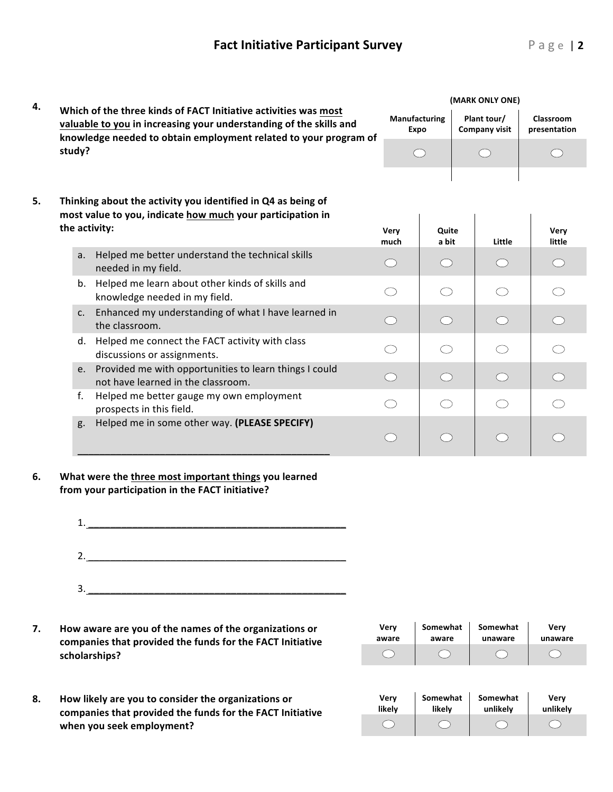| 4. |               |                                                                                                                                                                                                           | (MARK ONLY ONE)              |                                             |  |                                     |                           |  |
|----|---------------|-----------------------------------------------------------------------------------------------------------------------------------------------------------------------------------------------------------|------------------------------|---------------------------------------------|--|-------------------------------------|---------------------------|--|
|    |               | Which of the three kinds of FACT Initiative activities was most<br>valuable to you in increasing your understanding of the skills and<br>knowledge needed to obtain employment related to your program of | <b>Manufacturing</b><br>Expo |                                             |  | Plant tour/<br><b>Company visit</b> | Classroom<br>presentation |  |
|    | study?        |                                                                                                                                                                                                           |                              | $\bigcirc$                                  |  |                                     |                           |  |
| 5. | the activity: | Thinking about the activity you identified in Q4 as being of<br>most value to you, indicate how much your participation in                                                                                | Very<br>much                 | Quite<br>a bit                              |  | Little                              | Very<br>little            |  |
|    | a.            | Helped me better understand the technical skills<br>needed in my field.                                                                                                                                   | ( )                          | $\left(\begin{array}{c} \end{array}\right)$ |  |                                     |                           |  |
|    | b.            | Helped me learn about other kinds of skills and<br>knowledge needed in my field.                                                                                                                          |                              | ⌒                                           |  |                                     |                           |  |
|    | c.            | Enhanced my understanding of what I have learned in<br>the classroom.                                                                                                                                     | ( )                          | $\bigcirc$                                  |  | $\bigcap$                           |                           |  |
|    | d.            | Helped me connect the FACT activity with class<br>discussions or assignments.                                                                                                                             |                              | ⌒                                           |  |                                     |                           |  |
|    | e.            | Provided me with opportunities to learn things I could<br>not have learned in the classroom.                                                                                                              | ◯                            | $\bigcirc$                                  |  | $\bigcap$                           |                           |  |
|    | f.            | Helped me better gauge my own employment<br>prospects in this field.                                                                                                                                      |                              | $\bigcap$                                   |  |                                     |                           |  |
|    | g.            | Helped me in some other way. (PLEASE SPECIFY)                                                                                                                                                             | $\tilde{a}$                  | ◯                                           |  |                                     |                           |  |

#### 6. What were the three most important things you learned from your participation in the FACT initiative?



7. How aware are you of the names of the organizations or companies that provided the funds for the FACT Initiative **scholarships?**

companies that provided the funds for the FACT Initiative

**8. How likely are you to consider the organizations or** 

**when you seek employment?**

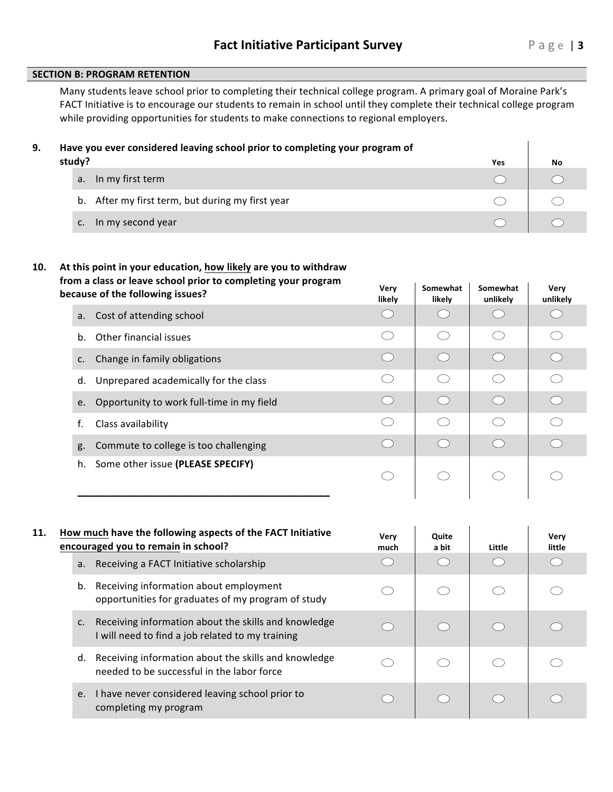**Very** 

#### **SECTION B: PROGRAM RETENTION**

Many students leave school prior to completing their technical college program. A primary goal of Moraine Park's FACT Initiative is to encourage our students to remain in school until they complete their technical college program while providing opportunities for students to make connections to regional employers.

| 9. | Have you ever considered leaving school prior to completing your program of |     |    |
|----|-----------------------------------------------------------------------------|-----|----|
|    | study?                                                                      | Yes | No |
|    | In my first term<br>a <sub>r</sub>                                          |     |    |
|    | b. After my first term, but during my first year                            |     |    |
|    | In my second year                                                           |     |    |

#### 10. At this point in your education, how likely are you to withdraw from a class or leave school prior to completing your program **because of the following issues? Very Decause** of the following issues?

|             | because of the following issues?            | Very<br>likely                              | Somewhat<br>likely                          | Somewhat<br>unlikely                                | Very<br>unlikely                              |
|-------------|---------------------------------------------|---------------------------------------------|---------------------------------------------|-----------------------------------------------------|-----------------------------------------------|
| a.          | Cost of attending school                    | $\left($                                    |                                             |                                                     |                                               |
| $h_{\cdot}$ | Other financial issues                      | ( )                                         | $\left(\begin{array}{c} \end{array}\right)$ | ⊂ )                                                 | $\left( \begin{array}{c} \end{array} \right)$ |
| c.          | Change in family obligations                | $\left(\begin{array}{c} \end{array}\right)$ | $\left(\begin{array}{c} \end{array}\right)$ | $\bigcirc$                                          | $\bigcirc$                                    |
|             | Unprepared academically for the class<br>d. | n a                                         | (                                           | $\left( \begin{array}{c} \cdot \end{array} \right)$ |                                               |
| e.          | Opportunity to work full-time in my field   | $\bigcirc$                                  | $\bigcirc$                                  | $\bigcirc$                                          | $\bigcirc$                                    |
| f.          | Class availability                          | ◯                                           | ◯                                           | ◯                                                   | ◯                                             |
| g.          | Commute to college is too challenging       | $\bigcirc$                                  | $\bigcirc$                                  | $\bigcirc$                                          | $\bigcirc$                                    |
|             | Some other issue (PLEASE SPECIFY)<br>h.     | ( )                                         | ( )                                         | C                                                   |                                               |
|             |                                             |                                             |                                             |                                                     |                                               |

| 11. |    | How much have the following aspects of the FACT Initiative<br>encouraged you to remain in school?        | Very<br>much                                  | Quite<br>a bit | Little | Very<br>little |
|-----|----|----------------------------------------------------------------------------------------------------------|-----------------------------------------------|----------------|--------|----------------|
|     | a. | Receiving a FACT Initiative scholarship                                                                  |                                               |                |        |                |
|     | b. | Receiving information about employment<br>opportunities for graduates of my program of study             |                                               |                |        |                |
|     | c. | Receiving information about the skills and knowledge<br>I will need to find a job related to my training | $\bigcirc$                                    |                |        |                |
|     | d. | Receiving information about the skills and knowledge<br>needed to be successful in the labor force       |                                               |                |        |                |
|     | e. | I have never considered leaving school prior to<br>completing my program                                 | $\left( \begin{array}{c} \end{array} \right)$ |                |        |                |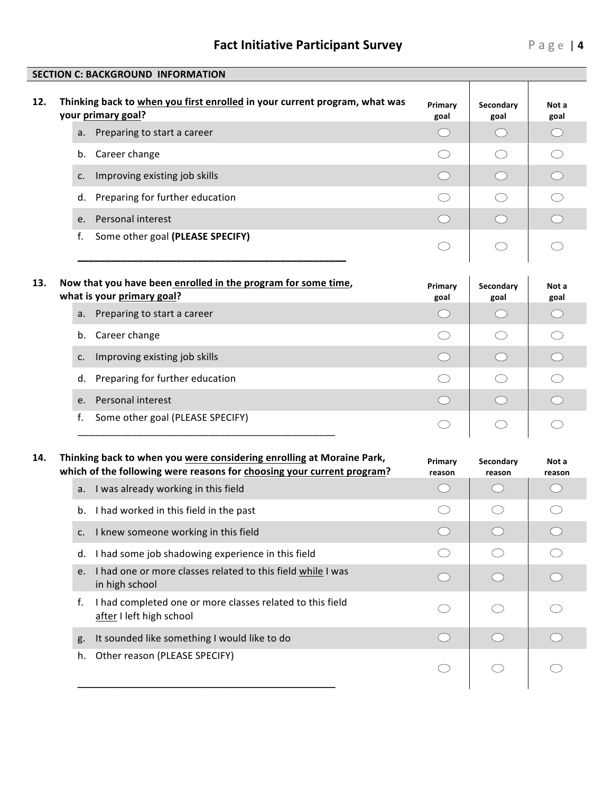# **Fact Initiative Participant Survey** Page | 4

|     | Thinking back to when you first enrolled in your current program, what was<br>your primary goal?                                                | Primary<br>goal   | Secondary<br>goal                           | Not a<br>goal   |
|-----|-------------------------------------------------------------------------------------------------------------------------------------------------|-------------------|---------------------------------------------|-----------------|
| a.  | Preparing to start a career                                                                                                                     | $\bigcirc$        | ( )                                         | ◯               |
| b.  | Career change                                                                                                                                   |                   | ◯                                           |                 |
| c.  | Improving existing job skills                                                                                                                   | $\bigcirc$        | $\bigcirc$                                  | $\bigcirc$      |
| d.  | Preparing for further education                                                                                                                 | ()                | $\bigcirc$                                  | $\bigcirc$      |
| e.  | Personal interest                                                                                                                               | $\bigcirc$        | $\bigcirc$                                  |                 |
| f.  | Some other goal (PLEASE SPECIFY)                                                                                                                |                   | $\bigcirc$                                  |                 |
| 13. | Now that you have been enrolled in the program for some time,<br>what is your primary goal?                                                     | Primary<br>goal   | Secondary<br>goal                           | Not a<br>goal   |
| a.  | Preparing to start a career                                                                                                                     | $($ )             | $\left(\begin{array}{c} \end{array}\right)$ | ( )             |
| b.  | Career change                                                                                                                                   |                   | ◯                                           | ( )             |
| c.  | Improving existing job skills                                                                                                                   | $\bigcirc$        | $\bigcirc$                                  | $\bigcirc$      |
| d.  | Preparing for further education                                                                                                                 |                   | $\bigcirc$                                  |                 |
| e.  | Personal interest                                                                                                                               | $\bigcirc$        | $\bigcirc$                                  | ◯               |
| f.  | Some other goal (PLEASE SPECIFY)                                                                                                                |                   | ◯                                           |                 |
| 14. | Thinking back to when you were considering enrolling at Moraine Park,<br>which of the following were reasons for choosing your current program? | Primary<br>reason | Secondary<br>reason                         | Not a<br>reason |
| a.  | I was already working in this field                                                                                                             | $($ )             | $\bigcirc$                                  | ( )             |
|     | I had worked in this field in the past                                                                                                          |                   | O                                           | $\Box$          |
| b.  |                                                                                                                                                 |                   |                                             |                 |
| c.  | I knew someone working in this field                                                                                                            | $\bigcirc$        |                                             |                 |
| d.  | I had some job shadowing experience in this field                                                                                               |                   |                                             |                 |
| e.  | I had one or more classes related to this field while I was<br>in high school                                                                   | $\bigcirc$        | $\bigcirc$                                  |                 |
| f.  | I had completed one or more classes related to this field<br>after I left high school                                                           |                   |                                             |                 |
| g.  | It sounded like something I would like to do                                                                                                    | $($ $)$           |                                             |                 |